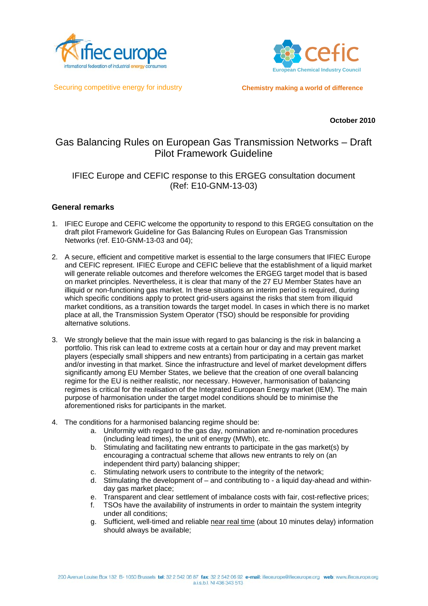



Securing competitive energy for industry

**Chemistry making a world of difference**

**October 2010** 

# Gas Balancing Rules on European Gas Transmission Networks – Draft Pilot Framework Guideline

# IFIEC Europe and CEFIC response to this ERGEG consultation document (Ref: E10-GNM-13-03)

# **General remarks**

- 1. IFIEC Europe and CEFIC welcome the opportunity to respond to this ERGEG consultation on the draft pilot Framework Guideline for Gas Balancing Rules on European Gas Transmission Networks (ref. E10-GNM-13-03 and 04);
- 2. A secure, efficient and competitive market is essential to the large consumers that IFIEC Europe and CEFIC represent. IFIEC Europe and CEFIC believe that the establishment of a liquid market will generate reliable outcomes and therefore welcomes the ERGEG target model that is based on market principles. Nevertheless, it is clear that many of the 27 EU Member States have an illiquid or non-functioning gas market. In these situations an interim period is required, during which specific conditions apply to protect grid-users against the risks that stem from illiquid market conditions, as a transition towards the target model. In cases in which there is no market place at all, the Transmission System Operator (TSO) should be responsible for providing alternative solutions.
- 3. We strongly believe that the main issue with regard to gas balancing is the risk in balancing a portfolio. This risk can lead to extreme costs at a certain hour or day and may prevent market players (especially small shippers and new entrants) from participating in a certain gas market and/or investing in that market. Since the infrastructure and level of market development differs significantly among EU Member States, we believe that the creation of one overall balancing regime for the EU is neither realistic, nor necessary. However, harmonisation of balancing regimes is critical for the realisation of the Integrated European Energy market (IEM). The main purpose of harmonisation under the target model conditions should be to minimise the aforementioned risks for participants in the market.
- 4. The conditions for a harmonised balancing regime should be:
	- a. Uniformity with regard to the gas day, nomination and re-nomination procedures (including lead times), the unit of energy (MWh), etc.
	- b. Stimulating and facilitating new entrants to participate in the gas market(s) by encouraging a contractual scheme that allows new entrants to rely on (an independent third party) balancing shipper;
	- c. Stimulating network users to contribute to the integrity of the network;
	- d. Stimulating the development of and contributing to a liquid day-ahead and withinday gas market place;
	- e. Transparent and clear settlement of imbalance costs with fair, cost-reflective prices;
	- f. TSOs have the availability of instruments in order to maintain the system integrity under all conditions;
	- g. Sufficient, well-timed and reliable near real time (about 10 minutes delay) information should always be available;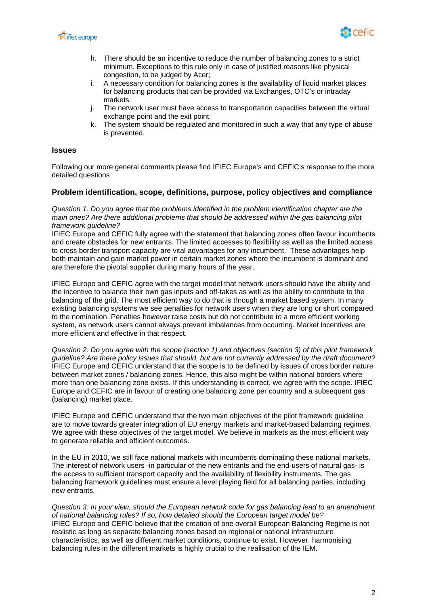



- h. There should be an incentive to reduce the number of balancing zones to a strict minimum. Exceptions to this rule only in case of justified reasons like physical congestion, to be judged by Acer;
- i. A necessary condition for balancing zones is the availability of liquid market places for balancing products that can be provided via Exchanges, OTC's or intraday markets.
- j. The network user must have access to transportation capacities between the virtual exchange point and the exit point;
- k. The system should be regulated and monitored in such a way that any type of abuse is prevented.

### **Issues**

Following our more general comments please find IFIEC Europe's and CEFIC's response to the more detailed questions

# **Problem identification, scope, definitions, purpose, policy objectives and compliance**

*Question 1: Do you agree that the problems identified in the problem identification chapter are the main ones? Are there additional problems that should be addressed within the gas balancing pilot framework guideline?* 

IFIEC Europe and CEFIC fully agree with the statement that balancing zones often favour incumbents and create obstacles for new entrants. The limited accesses to flexibility as well as the limited access to cross border transport capacity are vital advantages for any incumbent. These advantages help both maintain and gain market power in certain market zones where the incumbent is dominant and are therefore the pivotal supplier during many hours of the year.

IFIEC Europe and CEFIC agree with the target model that network users should have the ability and the incentive to balance their own gas inputs and off-takes as well as the ability to contribute to the balancing of the grid. The most efficient way to do that is through a market based system. In many existing balancing systems we see penalties for network users when they are long or short compared to the nomination. Penalties however raise costs but do not contribute to a more efficient working system, as network users cannot always prevent imbalances from occurring. Market incentives are more efficient and effective in that respect.

*Question 2: Do you agree with the scope (section 1) and objectives (section 3) of this pilot framework guideline? Are there policy issues that should, but are not currently addressed by the draft document?*  IFIEC Europe and CEFIC understand that the scope is to be defined by issues of cross border nature between market zones / balancing zones. Hence, this also might be within national borders where more than one balancing zone exists. If this understanding is correct, we agree with the scope. IFIEC Europe and CEFIC are in favour of creating one balancing zone per country and a subsequent gas (balancing) market place.

IFIEC Europe and CEFIC understand that the two main objectives of the pilot framework guideline are to move towards greater integration of EU energy markets and market-based balancing regimes. We agree with these objectives of the target model. We believe in markets as the most efficient way to generate reliable and efficient outcomes.

In the EU in 2010, we still face national markets with incumbents dominating these national markets. The interest of network users -in particular of the new entrants and the end-users of natural gas- is the access to sufficient transport capacity and the availability of flexibility instruments. The gas balancing framework guidelines must ensure a level playing field for all balancing parties, including new entrants.

*Question 3: In your view, should the European network code for gas balancing lead to an amendment of national balancing rules? If so, how detailed should the European target model be?*  IFIEC Europe and CEFIC believe that the creation of one overall European Balancing Regime is not realistic as long as separate balancing zones based on regional or national infrastructure characteristics, as well as different market conditions, continue to exist. However, harmonising balancing rules in the different markets is highly crucial to the realisation of the IEM.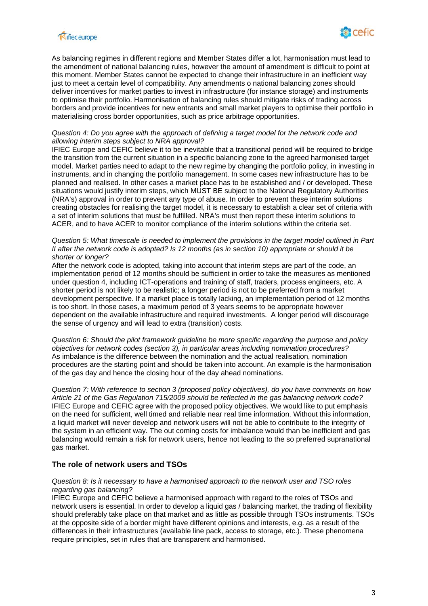



As balancing regimes in different regions and Member States differ a lot, harmonisation must lead to the amendment of national balancing rules, however the amount of amendment is difficult to point at this moment. Member States cannot be expected to change their infrastructure in an inefficient way just to meet a certain level of compatibility. Any amendments o national balancing zones should deliver incentives for market parties to invest in infrastructure (for instance storage) and instruments to optimise their portfolio. Harmonisation of balancing rules should mitigate risks of trading across borders and provide incentives for new entrants and small market players to optimise their portfolio in materialising cross border opportunities, such as price arbitrage opportunities.

### *Question 4: Do you agree with the approach of defining a target model for the network code and allowing interim steps subject to NRA approval?*

IFIEC Europe and CEFIC believe it to be inevitable that a transitional period will be required to bridge the transition from the current situation in a specific balancing zone to the agreed harmonised target model. Market parties need to adapt to the new regime by changing the portfolio policy, in investing in instruments, and in changing the portfolio management. In some cases new infrastructure has to be planned and realised. In other cases a market place has to be established and / or developed. These situations would justify interim steps, which MUST BE subject to the National Regulatory Authorities (NRA's) approval in order to prevent any type of abuse. In order to prevent these interim solutions creating obstacles for realising the target model, it is necessary to establish a clear set of criteria with a set of interim solutions that must be fulfilled. NRA's must then report these interim solutions to ACER, and to have ACER to monitor compliance of the interim solutions within the criteria set.

### *Question 5: What timescale is needed to implement the provisions in the target model outlined in Part II after the network code is adopted? Is 12 months (as in section 10) appropriate or should it be shorter or longer?*

After the network code is adopted, taking into account that interim steps are part of the code, an implementation period of 12 months should be sufficient in order to take the measures as mentioned under question 4, including ICT-operations and training of staff, traders, process engineers, etc. A shorter period is not likely to be realistic; a longer period is not to be preferred from a market development perspective. If a market place is totally lacking, an implementation period of 12 months is too short. In those cases, a maximum period of 3 years seems to be appropriate however dependent on the available infrastructure and required investments. A longer period will discourage the sense of urgency and will lead to extra (transition) costs.

*Question 6: Should the pilot framework guideline be more specific regarding the purpose and policy objectives for network codes (section 3), in particular areas including nomination procedures?* As imbalance is the difference between the nomination and the actual realisation, nomination procedures are the starting point and should be taken into account. An example is the harmonisation of the gas day and hence the closing hour of the day ahead nominations.

*Question 7: With reference to section 3 (proposed policy objectives), do you have comments on how Article 21 of the Gas Regulation 715/2009 should be reflected in the gas balancing network code?*  IFIEC Europe and CEFIC agree with the proposed policy objectives. We would like to put emphasis on the need for sufficient, well timed and reliable near real time information. Without this information, a liquid market will never develop and network users will not be able to contribute to the integrity of the system in an efficient way. The out coming costs for imbalance would than be inefficient and gas balancing would remain a risk for network users, hence not leading to the so preferred supranational gas market.

# **The role of network users and TSOs**

### *Question 8: Is it necessary to have a harmonised approach to the network user and TSO roles regarding gas balancing?*

IFIEC Europe and CEFIC believe a harmonised approach with regard to the roles of TSOs and network users is essential. In order to develop a liquid gas / balancing market, the trading of flexibility should preferably take place on that market and as little as possible through TSOs instruments. TSOs at the opposite side of a border might have different opinions and interests, e.g. as a result of the differences in their infrastructures (available line pack, access to storage, etc.). These phenomena require principles, set in rules that are transparent and harmonised.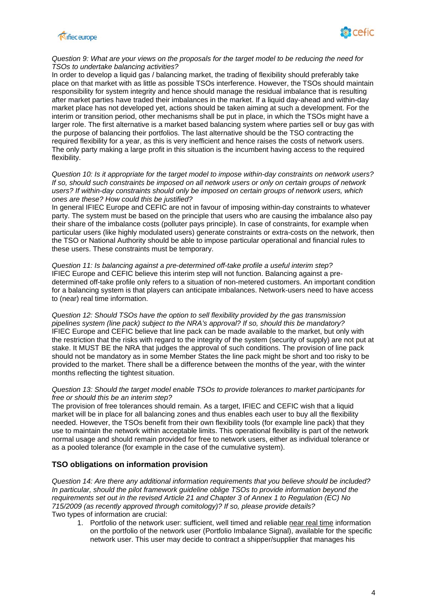



### *Question 9: What are your views on the proposals for the target model to be reducing the need for TSOs to undertake balancing activities?*

In order to develop a liquid gas / balancing market, the trading of flexibility should preferably take place on that market with as little as possible TSOs interference. However, the TSOs should maintain responsibility for system integrity and hence should manage the residual imbalance that is resulting after market parties have traded their imbalances in the market. If a liquid day-ahead and within-day market place has not developed yet, actions should be taken aiming at such a development. For the interim or transition period, other mechanisms shall be put in place, in which the TSOs might have a larger role. The first alternative is a market based balancing system where parties sell or buy gas with the purpose of balancing their portfolios. The last alternative should be the TSO contracting the required flexibility for a year, as this is very inefficient and hence raises the costs of network users. The only party making a large profit in this situation is the incumbent having access to the required flexibility.

*Question 10: Is it appropriate for the target model to impose within-day constraints on network users? If so, should such constraints be imposed on all network users or only on certain groups of network users? If within-day constraints should only be imposed on certain groups of network users, which ones are these? How could this be justified?* 

In general IFIEC Europe and CEFIC are not in favour of imposing within-day constraints to whatever party. The system must be based on the principle that users who are causing the imbalance also pay their share of the imbalance costs (polluter pays principle). In case of constraints, for example when particular users (like highly modulated users) generate constraints or extra-costs on the network, then the TSO or National Authority should be able to impose particular operational and financial rules to these users. These constraints must be temporary.

### *Question 11: Is balancing against a pre-determined off-take profile a useful interim step?*  IFIEC Europe and CEFIC believe this interim step will not function. Balancing against a predetermined off-take profile only refers to a situation of non-metered customers. An important condition for a balancing system is that players can anticipate imbalances. Network-users need to have access to (near) real time information.

*Question 12: Should TSOs have the option to sell flexibility provided by the gas transmission pipelines system (line pack) subject to the NRA's approval? If so, should this be mandatory?*  IFIEC Europe and CEFIC believe that line pack can be made available to the market, but only with the restriction that the risks with regard to the integrity of the system (security of supply) are not put at stake. It MUST BE the NRA that judges the approval of such conditions. The provision of line pack should not be mandatory as in some Member States the line pack might be short and too risky to be provided to the market. There shall be a difference between the months of the year, with the winter months reflecting the tightest situation.

### *Question 13: Should the target model enable TSOs to provide tolerances to market participants for free or should this be an interim step?*

The provision of free tolerances should remain. As a target, IFIEC and CEFIC wish that a liquid market will be in place for all balancing zones and thus enables each user to buy all the flexibility needed. However, the TSOs benefit from their own flexibility tools (for example line pack) that they use to maintain the network within acceptable limits. This operational flexibility is part of the network normal usage and should remain provided for free to network users, either as individual tolerance or as a pooled tolerance (for example in the case of the cumulative system).

# **TSO obligations on information provision**

*Question 14: Are there any additional information requirements that you believe should be included? In particular, should the pilot framework guideline oblige TSOs to provide information beyond the requirements set out in the revised Article 21 and Chapter 3 of Annex 1 to Regulation (EC) No 715/2009 (as recently approved through comitology)? If so, please provide details?*  Two types of information are crucial:

1. Portfolio of the network user: sufficient, well timed and reliable near real time information on the portfolio of the network user (Portfolio Imbalance Signal), available for the specific network user. This user may decide to contract a shipper/supplier that manages his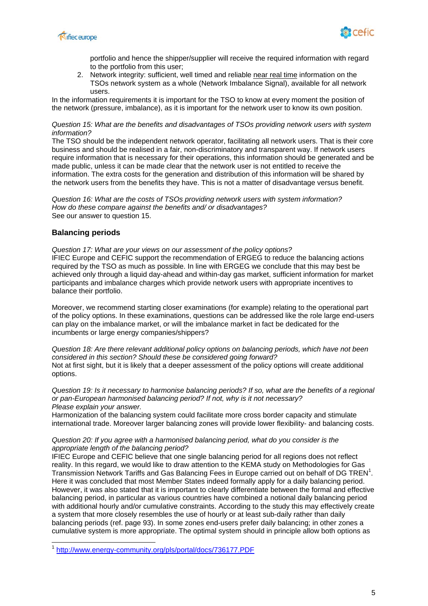



portfolio and hence the shipper/supplier will receive the required information with regard to the portfolio from this user;

2. Network integrity: sufficient, well timed and reliable near real time information on the TSOs network system as a whole (Network Imbalance Signal), available for all network users.

In the information requirements it is important for the TSO to know at every moment the position of the network (pressure, imbalance), as it is important for the network user to know its own position.

### *Question 15: What are the benefits and disadvantages of TSOs providing network users with system information?*

The TSO should be the independent network operator, facilitating all network users. That is their core business and should be realised in a fair, non-discriminatory and transparent way. If network users require information that is necessary for their operations, this information should be generated and be made public, unless it can be made clear that the network user is not entitled to receive the information. The extra costs for the generation and distribution of this information will be shared by the network users from the benefits they have. This is not a matter of disadvantage versus benefit.

*Question 16: What are the costs of TSOs providing network users with system information? How do these compare against the benefits and/ or disadvantages?*  See our answer to question 15.

# **Balancing periods**

l

*Question 17: What are your views on our assessment of the policy options?*  IFIEC Europe and CEFIC support the recommendation of ERGEG to reduce the balancing actions required by the TSO as much as possible. In line with ERGEG we conclude that this may best be achieved only through a liquid day-ahead and within-day gas market, sufficient information for market participants and imbalance charges which provide network users with appropriate incentives to balance their portfolio.

Moreover, we recommend starting closer examinations (for example) relating to the operational part of the policy options. In these examinations, questions can be addressed like the role large end-users can play on the imbalance market, or will the imbalance market in fact be dedicated for the incumbents or large energy companies/shippers?

*Question 18: Are there relevant additional policy options on balancing periods, which have not been considered in this section? Should these be considered going forward?*  Not at first sight, but it is likely that a deeper assessment of the policy options will create additional options.

*Question 19: Is it necessary to harmonise balancing periods? If so, what are the benefits of a regional or pan-European harmonised balancing period? If not, why is it not necessary? Please explain your answer.* 

Harmonization of the balancing system could facilitate more cross border capacity and stimulate international trade. Moreover larger balancing zones will provide lower flexibility- and balancing costs.

### *Question 20: If you agree with a harmonised balancing period, what do you consider is the appropriate length of the balancing period?*

IFIEC Europe and CEFIC believe that one single balancing period for all regions does not reflect reality. In this regard, we would like to draw attention to the KEMA study on Methodologies for Gas Transmission Network Tariffs and Gas Balancing Fees in Europe carried out on behalf of DG TREN<sup>1</sup>. Here it was concluded that most Member States indeed formally apply for a daily balancing period. However, it was also stated that it is important to clearly differentiate between the formal and effective balancing period, in particular as various countries have combined a notional daily balancing period with additional hourly and/or cumulative constraints. According to the study this may effectively create a system that more closely resembles the use of hourly or at least sub-daily rather than daily balancing periods (ref. page 93). In some zones end-users prefer daily balancing; in other zones a cumulative system is more appropriate. The optimal system should in principle allow both options as

http://www.energy-community.org/pls/portal/docs/736177.PDF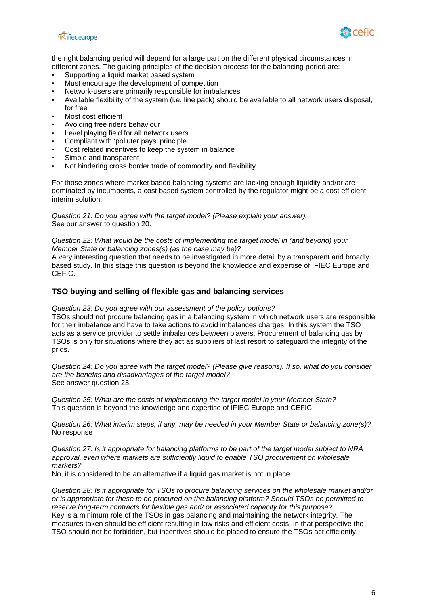



the right balancing period will depend for a large part on the different physical circumstances in different zones. The guiding principles of the decision process for the balancing period are:

- Supporting a liquid market based system
- Must encourage the development of competition
- Network-users are primarily responsible for imbalances
- Available flexibility of the system (i.e. line pack) should be available to all network users disposal, for free
- Most cost efficient
- Avoiding free riders behaviour
- Level playing field for all network users
- Compliant with 'polluter pays' principle
- Cost related incentives to keep the system in balance
- Simple and transparent
- Not hindering cross border trade of commodity and flexibility

For those zones where market based balancing systems are lacking enough liquidity and/or are dominated by incumbents, a cost based system controlled by the regulator might be a cost efficient interim solution.

*Question 21: Do you agree with the target model? (Please explain your answer).*  See our answer to question 20.

*Question 22: What would be the costs of implementing the target model in (and beyond) your Member State or balancing zones(s) (as the case may be)?* 

A very interesting question that needs to be investigated in more detail by a transparent and broadly based study. In this stage this question is beyond the knowledge and expertise of IFIEC Europe and CEFIC.

# **TSO buying and selling of flexible gas and balancing services**

*Question 23: Do you agree with our assessment of the policy options?* 

TSOs should not procure balancing gas in a balancing system in which network users are responsible for their imbalance and have to take actions to avoid imbalances charges. In this system the TSO acts as a service provider to settle imbalances between players. Procurement of balancing gas by TSOs is only for situations where they act as suppliers of last resort to safeguard the integrity of the grids.

*Question 24: Do you agree with the target model? (Please give reasons). If so, what do you consider are the benefits and disadvantages of the target model?*  See answer question 23.

*Question 25: What are the costs of implementing the target model in your Member State?*  This question is beyond the knowledge and expertise of IFIEC Europe and CEFIC.

*Question 26: What interim steps, if any, may be needed in your Member State or balancing zone(s)?*  No response

*Question 27: Is it appropriate for balancing platforms to be part of the target model subject to NRA approval, even where markets are sufficiently liquid to enable TSO procurement on wholesale markets?* 

No, it is considered to be an alternative if a liquid gas market is not in place.

*Question 28: Is it appropriate for TSOs to procure balancing services on the wholesale market and/or or is appropriate for these to be procured on the balancing platform? Should TSOs be permitted to reserve long-term contracts for flexible gas and/ or associated capacity for this purpose?*  Key is a minimum role of the TSOs in gas balancing and maintaining the network integrity. The measures taken should be efficient resulting in low risks and efficient costs. In that perspective the TSO should not be forbidden, but incentives should be placed to ensure the TSOs act efficiently.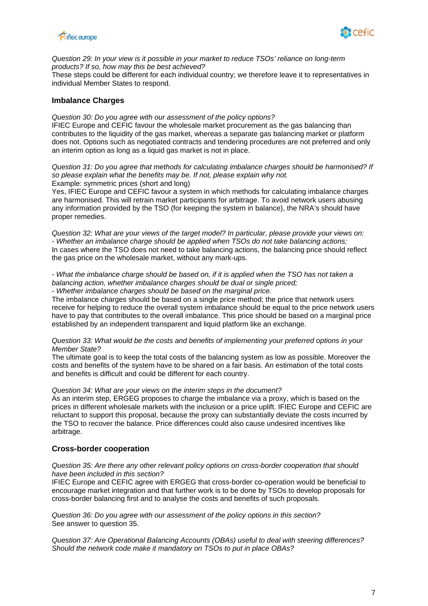



*Question 29: In your view is it possible in your market to reduce TSOs' reliance on long-term products? If so, how may this be best achieved?* 

These steps could be different for each individual country; we therefore leave it to representatives in individual Member States to respond.

# **Imbalance Charges**

*Question 30: Do you agree with our assessment of the policy options?*  IFIEC Europe and CEFIC favour the wholesale market procurement as the gas balancing than contributes to the liquidity of the gas market, whereas a separate gas balancing market or platform does not. Options such as negotiated contracts and tendering procedures are not preferred and only an interim option as long as a liquid gas market is not in place.

*Question 31: Do you agree that methods for calculating imbalance charges should be harmonised? If so please explain what the benefits may be. If not, please explain why not.*  Example: symmetric prices (short and long)

Yes, IFIEC Europe and CEFIC favour a system in which methods for calculating imbalance charges are harmonised. This will retrain market participants for arbitrage. To avoid network users abusing any information provided by the TSO (for keeping the system in balance), the NRA's should have proper remedies.

*Question 32: What are your views of the target model? In particular, please provide your views on: - Whether an imbalance charge should be applied when TSOs do not take balancing actions;*  In cases where the TSO does not need to take balancing actions, the balancing price should reflect the gas price on the wholesale market, without any mark-ups.

#### *- What the imbalance charge should be based on, if it is applied when the TSO has not taken a balancing action, whether imbalance charges should be dual or single priced; - Whether imbalance charges should be based on the marginal price.*

The imbalance charges should be based on a single price method; the price that network users receive for helping to reduce the overall system imbalance should be equal to the price network users have to pay that contributes to the overall imbalance. This price should be based on a marginal price established by an independent transparent and liquid platform like an exchange.

### *Question 33: What would be the costs and benefits of implementing your preferred options in your Member State?*

The ultimate goal is to keep the total costs of the balancing system as low as possible. Moreover the costs and benefits of the system have to be shared on a fair basis. An estimation of the total costs and benefits is difficult and could be different for each country.

### *Question 34: What are your views on the interim steps in the document?*

As an interim step, ERGEG proposes to charge the imbalance via a proxy, which is based on the prices in different wholesale markets with the inclusion or a price uplift. IFIEC Europe and CEFIC are reluctant to support this proposal, because the proxy can substantially deviate the costs incurred by the TSO to recover the balance. Price differences could also cause undesired incentives like arbitrage.

# **Cross-border cooperation**

### *Question 35: Are there any other relevant policy options on cross-border cooperation that should have been included in this section?*

IFIEC Europe and CEFIC agree with ERGEG that cross-border co-operation would be beneficial to encourage market integration and that further work is to be done by TSOs to develop proposals for cross-border balancing first and to analyse the costs and benefits of such proposals.

*Question 36: Do you agree with our assessment of the policy options in this section?*  See answer to question 35.

*Question 37: Are Operational Balancing Accounts (OBAs) useful to deal with steering differences? Should the network code make it mandatory on TSOs to put in place OBAs?*